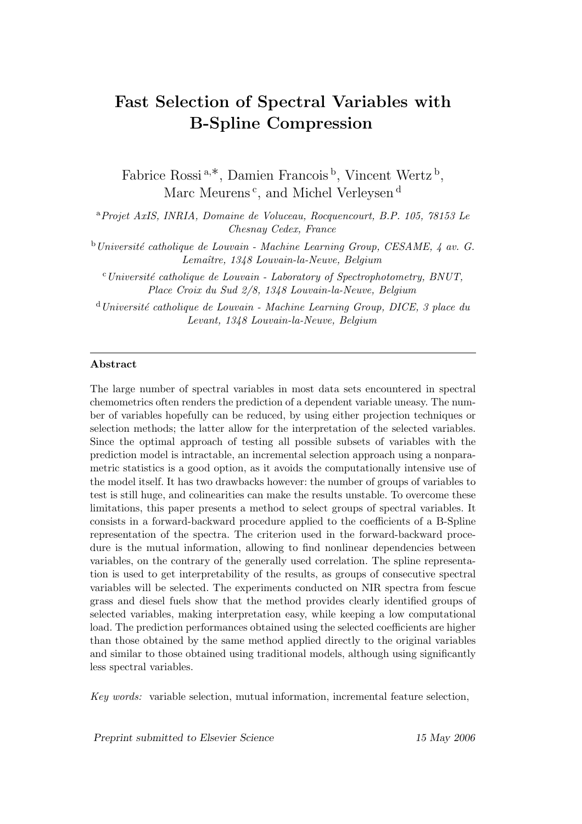# Fast Selection of Spectral Variables with B-Spline Compression

Fabrice Rossi<sup>a,\*</sup>, Damien Francois<sup>b</sup>, Vincent Wertz<sup>b</sup>, Marc Meurens<sup>c</sup>, and Michel Verleysen<sup>d</sup>

<sup>a</sup>Projet AxIS, INRIA, Domaine de Voluceau, Rocquencourt, B.P. 105, 78153 Le Chesnay Cedex, France

 $b$ Université catholique de Louvain - Machine Learning Group, CESAME,  $\downarrow$  av. G. Lemaître, 1348 Louvain-la-Neuve, Belgium

 $c$ Université catholique de Louvain - Laboratory of Spectrophotometry, BNUT, Place Croix du Sud 2/8, 1348 Louvain-la-Neuve, Belgium

 $d$ Université catholique de Louvain - Machine Learning Group, DICE, 3 place du Levant, 1348 Louvain-la-Neuve, Belgium

#### Abstract

The large number of spectral variables in most data sets encountered in spectral chemometrics often renders the prediction of a dependent variable uneasy. The number of variables hopefully can be reduced, by using either projection techniques or selection methods; the latter allow for the interpretation of the selected variables. Since the optimal approach of testing all possible subsets of variables with the prediction model is intractable, an incremental selection approach using a nonparametric statistics is a good option, as it avoids the computationally intensive use of the model itself. It has two drawbacks however: the number of groups of variables to test is still huge, and colinearities can make the results unstable. To overcome these limitations, this paper presents a method to select groups of spectral variables. It consists in a forward-backward procedure applied to the coefficients of a B-Spline representation of the spectra. The criterion used in the forward-backward procedure is the mutual information, allowing to find nonlinear dependencies between variables, on the contrary of the generally used correlation. The spline representation is used to get interpretability of the results, as groups of consecutive spectral variables will be selected. The experiments conducted on NIR spectra from fescue grass and diesel fuels show that the method provides clearly identified groups of selected variables, making interpretation easy, while keeping a low computational load. The prediction performances obtained using the selected coefficients are higher than those obtained by the same method applied directly to the original variables and similar to those obtained using traditional models, although using significantly less spectral variables.

Key words: variable selection, mutual information, incremental feature selection,

Preprint submitted to Elsevier Science 15 May 2006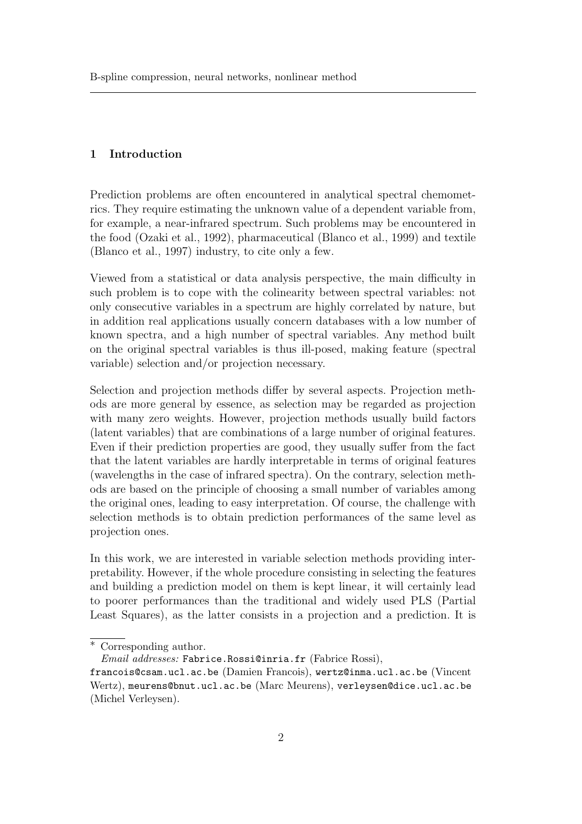### 1 Introduction

Prediction problems are often encountered in analytical spectral chemometrics. They require estimating the unknown value of a dependent variable from, for example, a near-infrared spectrum. Such problems may be encountered in the food (Ozaki et al., 1992), pharmaceutical (Blanco et al., 1999) and textile (Blanco et al., 1997) industry, to cite only a few.

Viewed from a statistical or data analysis perspective, the main difficulty in such problem is to cope with the colinearity between spectral variables: not only consecutive variables in a spectrum are highly correlated by nature, but in addition real applications usually concern databases with a low number of known spectra, and a high number of spectral variables. Any method built on the original spectral variables is thus ill-posed, making feature (spectral variable) selection and/or projection necessary.

Selection and projection methods differ by several aspects. Projection methods are more general by essence, as selection may be regarded as projection with many zero weights. However, projection methods usually build factors (latent variables) that are combinations of a large number of original features. Even if their prediction properties are good, they usually suffer from the fact that the latent variables are hardly interpretable in terms of original features (wavelengths in the case of infrared spectra). On the contrary, selection methods are based on the principle of choosing a small number of variables among the original ones, leading to easy interpretation. Of course, the challenge with selection methods is to obtain prediction performances of the same level as projection ones.

In this work, we are interested in variable selection methods providing interpretability. However, if the whole procedure consisting in selecting the features and building a prediction model on them is kept linear, it will certainly lead to poorer performances than the traditional and widely used PLS (Partial Least Squares), as the latter consists in a projection and a prediction. It is

<sup>∗</sup> Corresponding author.

Email addresses: Fabrice.Rossi@inria.fr (Fabrice Rossi),

francois@csam.ucl.ac.be (Damien Francois), wertz@inma.ucl.ac.be (Vincent Wertz), meurens@bnut.ucl.ac.be (Marc Meurens), verleysen@dice.ucl.ac.be (Michel Verleysen).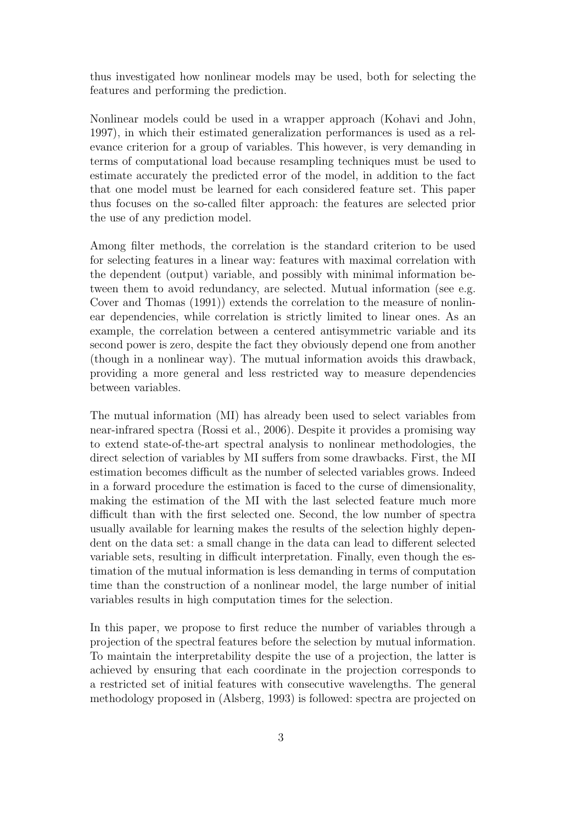thus investigated how nonlinear models may be used, both for selecting the features and performing the prediction.

Nonlinear models could be used in a wrapper approach (Kohavi and John, 1997), in which their estimated generalization performances is used as a relevance criterion for a group of variables. This however, is very demanding in terms of computational load because resampling techniques must be used to estimate accurately the predicted error of the model, in addition to the fact that one model must be learned for each considered feature set. This paper thus focuses on the so-called filter approach: the features are selected prior the use of any prediction model.

Among filter methods, the correlation is the standard criterion to be used for selecting features in a linear way: features with maximal correlation with the dependent (output) variable, and possibly with minimal information between them to avoid redundancy, are selected. Mutual information (see e.g. Cover and Thomas (1991)) extends the correlation to the measure of nonlinear dependencies, while correlation is strictly limited to linear ones. As an example, the correlation between a centered antisymmetric variable and its second power is zero, despite the fact they obviously depend one from another (though in a nonlinear way). The mutual information avoids this drawback, providing a more general and less restricted way to measure dependencies between variables.

The mutual information (MI) has already been used to select variables from near-infrared spectra (Rossi et al., 2006). Despite it provides a promising way to extend state-of-the-art spectral analysis to nonlinear methodologies, the direct selection of variables by MI suffers from some drawbacks. First, the MI estimation becomes difficult as the number of selected variables grows. Indeed in a forward procedure the estimation is faced to the curse of dimensionality, making the estimation of the MI with the last selected feature much more difficult than with the first selected one. Second, the low number of spectra usually available for learning makes the results of the selection highly dependent on the data set: a small change in the data can lead to different selected variable sets, resulting in difficult interpretation. Finally, even though the estimation of the mutual information is less demanding in terms of computation time than the construction of a nonlinear model, the large number of initial variables results in high computation times for the selection.

In this paper, we propose to first reduce the number of variables through a projection of the spectral features before the selection by mutual information. To maintain the interpretability despite the use of a projection, the latter is achieved by ensuring that each coordinate in the projection corresponds to a restricted set of initial features with consecutive wavelengths. The general methodology proposed in (Alsberg, 1993) is followed: spectra are projected on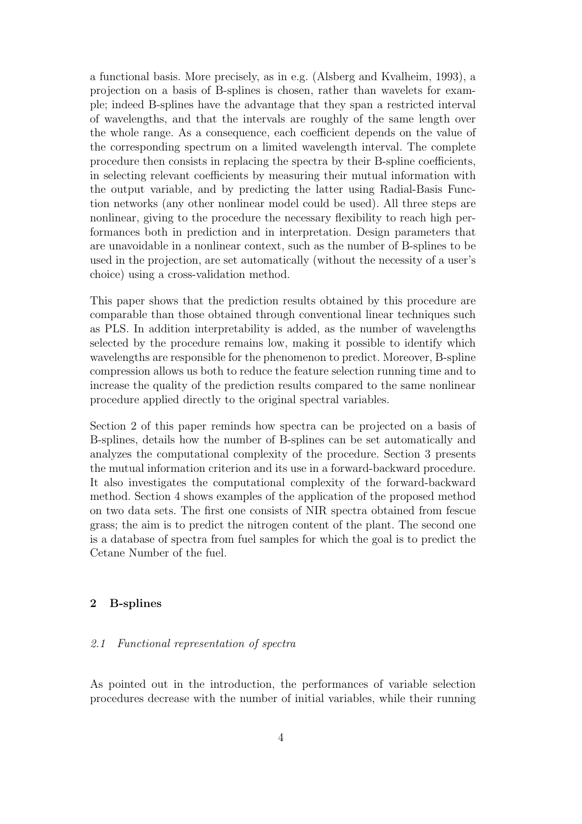a functional basis. More precisely, as in e.g. (Alsberg and Kvalheim, 1993), a projection on a basis of B-splines is chosen, rather than wavelets for example; indeed B-splines have the advantage that they span a restricted interval of wavelengths, and that the intervals are roughly of the same length over the whole range. As a consequence, each coefficient depends on the value of the corresponding spectrum on a limited wavelength interval. The complete procedure then consists in replacing the spectra by their B-spline coefficients, in selecting relevant coefficients by measuring their mutual information with the output variable, and by predicting the latter using Radial-Basis Function networks (any other nonlinear model could be used). All three steps are nonlinear, giving to the procedure the necessary flexibility to reach high performances both in prediction and in interpretation. Design parameters that are unavoidable in a nonlinear context, such as the number of B-splines to be used in the projection, are set automatically (without the necessity of a user's choice) using a cross-validation method.

This paper shows that the prediction results obtained by this procedure are comparable than those obtained through conventional linear techniques such as PLS. In addition interpretability is added, as the number of wavelengths selected by the procedure remains low, making it possible to identify which wavelengths are responsible for the phenomenon to predict. Moreover, B-spline compression allows us both to reduce the feature selection running time and to increase the quality of the prediction results compared to the same nonlinear procedure applied directly to the original spectral variables.

Section 2 of this paper reminds how spectra can be projected on a basis of B-splines, details how the number of B-splines can be set automatically and analyzes the computational complexity of the procedure. Section 3 presents the mutual information criterion and its use in a forward-backward procedure. It also investigates the computational complexity of the forward-backward method. Section 4 shows examples of the application of the proposed method on two data sets. The first one consists of NIR spectra obtained from fescue grass; the aim is to predict the nitrogen content of the plant. The second one is a database of spectra from fuel samples for which the goal is to predict the Cetane Number of the fuel.

## 2 B-splines

### 2.1 Functional representation of spectra

As pointed out in the introduction, the performances of variable selection procedures decrease with the number of initial variables, while their running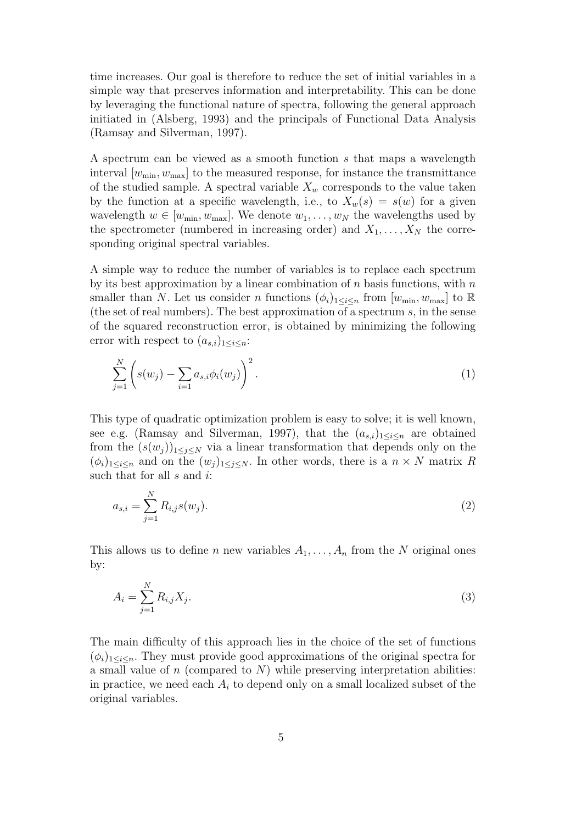time increases. Our goal is therefore to reduce the set of initial variables in a simple way that preserves information and interpretability. This can be done by leveraging the functional nature of spectra, following the general approach initiated in (Alsberg, 1993) and the principals of Functional Data Analysis (Ramsay and Silverman, 1997).

A spectrum can be viewed as a smooth function s that maps a wavelength interval  $[w_{\min}, w_{\max}]$  to the measured response, for instance the transmittance of the studied sample. A spectral variable  $X_w$  corresponds to the value taken by the function at a specific wavelength, i.e., to  $X_w(s) = s(w)$  for a given wavelength  $w \in [w_{\min}, w_{\max}]$ . We denote  $w_1, \ldots, w_N$  the wavelengths used by the spectrometer (numbered in increasing order) and  $X_1, \ldots, X_N$  the corresponding original spectral variables.

A simple way to reduce the number of variables is to replace each spectrum by its best approximation by a linear combination of  $n$  basis functions, with  $n$ smaller than N. Let us consider n functions  $(\phi_i)_{1\leq i\leq n}$  from  $[w_{\min}, w_{\max}]$  to  $\mathbb R$ (the set of real numbers). The best approximation of a spectrum s, in the sense of the squared reconstruction error, is obtained by minimizing the following error with respect to  $(a_{s,i})_{1\leq i\leq n}$ :

$$
\sum_{j=1}^{N} \left( s(w_j) - \sum_{i=1}^{N} a_{s,i} \phi_i(w_j) \right)^2.
$$
 (1)

This type of quadratic optimization problem is easy to solve; it is well known, see e.g. (Ramsay and Silverman, 1997), that the  $(a_{s,i})_{1\leq i\leq n}$  are obtained from the  $(s(w_j))_{1\leq j\leq N}$  via a linear transformation that depends only on the  $(\phi_i)_{1\leq i\leq n}$  and on the  $(w_i)_{1\leq i\leq N}$ . In other words, there is a  $n \times N$  matrix R such that for all  $s$  and  $i$ :

$$
a_{s,i} = \sum_{j=1}^{N} R_{i,j} s(w_j).
$$
 (2)

This allows us to define n new variables  $A_1, \ldots, A_n$  from the N original ones by:

$$
A_i = \sum_{j=1}^{N} R_{i,j} X_j.
$$
 (3)

The main difficulty of this approach lies in the choice of the set of functions  $(\phi_i)_{1 \leq i \leq n}$ . They must provide good approximations of the original spectra for a small value of  $n$  (compared to  $N$ ) while preserving interpretation abilities: in practice, we need each  $A_i$  to depend only on a small localized subset of the original variables.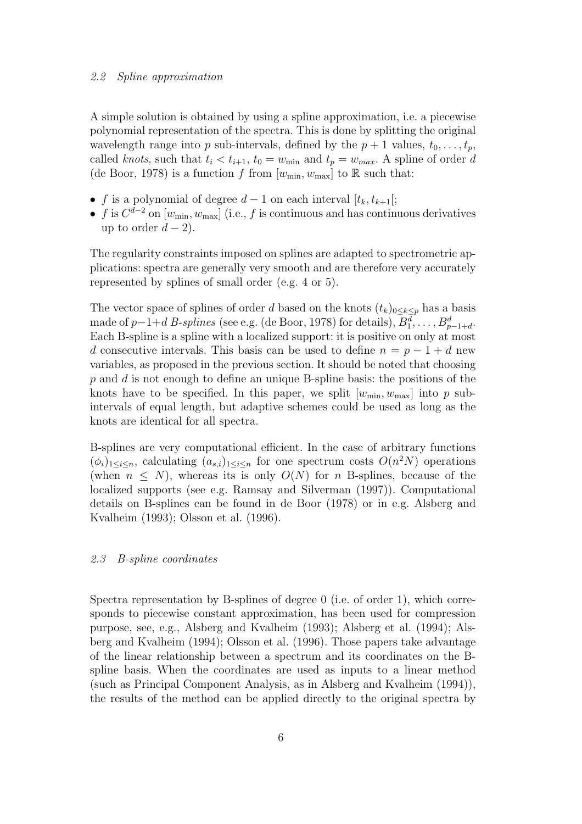#### 2.2 Spline approximation

A simple solution is obtained by using a spline approximation, i.e. a piecewise polynomial representation of the spectra. This is done by splitting the original wavelength range into p sub-intervals, defined by the  $p + 1$  values,  $t_0, \ldots, t_p$ , called knots, such that  $t_i < t_{i+1}$ ,  $t_0 = w_{min}$  and  $t_p = w_{max}$ . A spline of order d (de Boor, 1978) is a function f from  $[w_{\min}, w_{\max}]$  to R such that:

- f is a polynomial of degree  $d-1$  on each interval  $[t_k, t_{k+1}]$ ;
- f is  $C^{d-2}$  on  $[w_{\min}, w_{\max}]$  (i.e., f is continuous and has continuous derivatives up to order  $d-2$ ).

The regularity constraints imposed on splines are adapted to spectrometric applications: spectra are generally very smooth and are therefore very accurately represented by splines of small order (e.g. 4 or 5).

The vector space of splines of order d based on the knots  $(t_k)_{0\leq k\leq p}$  has a basis made of  $p-1+d$  *B-splines* (see e.g. (de Boor, 1978) for details),  $B_1^d, \ldots, B_{p-1+d}^d$ . Each B-spline is a spline with a localized support: it is positive on only at most d consecutive intervals. This basis can be used to define  $n = p - 1 + d$  new variables, as proposed in the previous section. It should be noted that choosing  $p$  and  $d$  is not enough to define an unique B-spline basis: the positions of the knots have to be specified. In this paper, we split  $[w_{\min}, w_{\max}]$  into p subintervals of equal length, but adaptive schemes could be used as long as the knots are identical for all spectra.

B-splines are very computational efficient. In the case of arbitrary functions  $(\phi_i)_{1 \leq i \leq n}$ , calculating  $(a_{s,i})_{1 \leq i \leq n}$  for one spectrum costs  $O(n^2N)$  operations (when  $n \leq N$ ), whereas its is only  $O(N)$  for n B-splines, because of the localized supports (see e.g. Ramsay and Silverman (1997)). Computational details on B-splines can be found in de Boor (1978) or in e.g. Alsberg and Kvalheim (1993); Olsson et al. (1996).

### 2.3 B-spline coordinates

Spectra representation by B-splines of degree 0 (i.e. of order 1), which corresponds to piecewise constant approximation, has been used for compression purpose, see, e.g., Alsberg and Kvalheim (1993); Alsberg et al. (1994); Alsberg and Kvalheim (1994); Olsson et al. (1996). Those papers take advantage of the linear relationship between a spectrum and its coordinates on the Bspline basis. When the coordinates are used as inputs to a linear method (such as Principal Component Analysis, as in Alsberg and Kvalheim (1994)), the results of the method can be applied directly to the original spectra by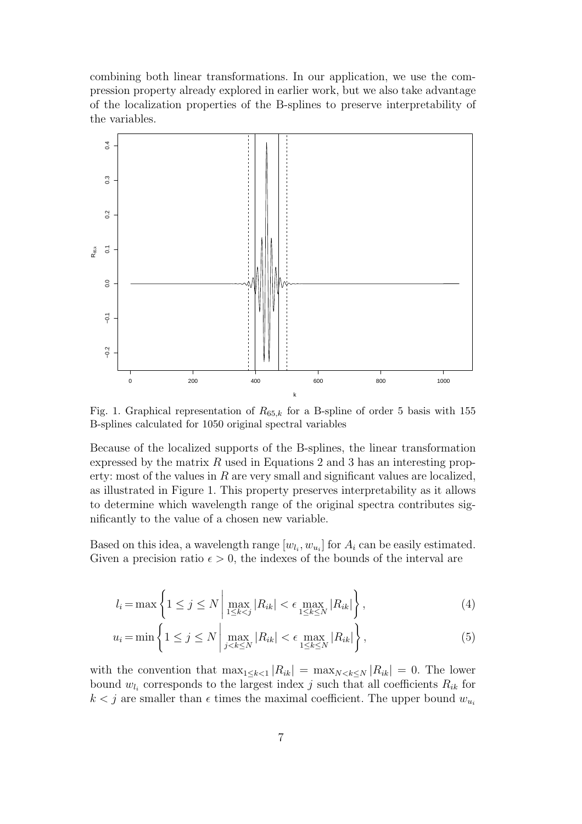combining both linear transformations. In our application, we use the compression property already explored in earlier work, but we also take advantage of the localization properties of the B-splines to preserve interpretability of the variables.



Fig. 1. Graphical representation of  $R_{65,k}$  for a B-spline of order 5 basis with 155 B-splines calculated for 1050 original spectral variables

Because of the localized supports of the B-splines, the linear transformation expressed by the matrix  $R$  used in Equations 2 and 3 has an interesting property: most of the values in  $R$  are very small and significant values are localized, as illustrated in Figure 1. This property preserves interpretability as it allows to determine which wavelength range of the original spectra contributes significantly to the value of a chosen new variable.

Based on this idea, a wavelength range  $[w_{l_i}, w_{u_i}]$  for  $A_i$  can be easily estimated. Given a precision ratio  $\epsilon > 0$ , the indexes of the bounds of the interval are

$$
l_i = \max\left\{1 \leq j \leq N \left|\max_{1 \leq k < j} |R_{ik}| < \epsilon \max_{1 \leq k \leq N} |R_{ik}|\right\},\right\} \tag{4}
$$

$$
u_i = \min\left\{1 \leq j \leq N \left|\max_{j < k \leq N} |R_{ik}| < \epsilon \max_{1 \leq k \leq N} |R_{ik}| \right\},\right\} \tag{5}
$$

with the convention that  $\max_{1 \leq k \leq 1} |R_{ik}| = \max_{N \leq k \leq N} |R_{ik}| = 0$ . The lower bound  $w_{l_i}$  corresponds to the largest index j such that all coefficients  $R_{ik}$  for  $k < j$  are smaller than  $\epsilon$  times the maximal coefficient. The upper bound  $w_{u_i}$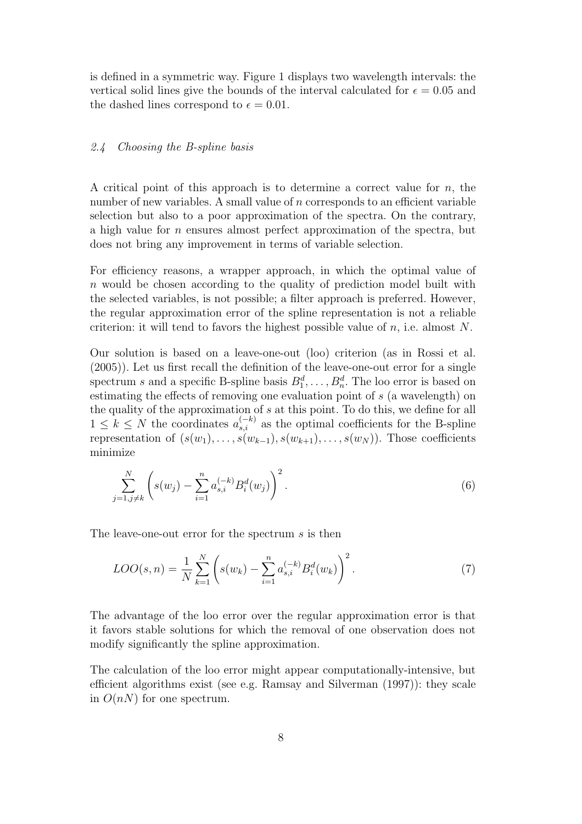is defined in a symmetric way. Figure 1 displays two wavelength intervals: the vertical solid lines give the bounds of the interval calculated for  $\epsilon = 0.05$  and the dashed lines correspond to  $\epsilon = 0.01$ .

### 2.4 Choosing the B-spline basis

A critical point of this approach is to determine a correct value for  $n$ , the number of new variables. A small value of n corresponds to an efficient variable selection but also to a poor approximation of the spectra. On the contrary, a high value for n ensures almost perfect approximation of the spectra, but does not bring any improvement in terms of variable selection.

For efficiency reasons, a wrapper approach, in which the optimal value of n would be chosen according to the quality of prediction model built with the selected variables, is not possible; a filter approach is preferred. However, the regular approximation error of the spline representation is not a reliable criterion: it will tend to favors the highest possible value of  $n$ , i.e. almost N.

Our solution is based on a leave-one-out (loo) criterion (as in Rossi et al. (2005)). Let us first recall the definition of the leave-one-out error for a single spectrum s and a specific B-spline basis  $B_1^d, \ldots, B_n^d$ . The loo error is based on estimating the effects of removing one evaluation point of s (a wavelength) on the quality of the approximation of s at this point. To do this, we define for all  $1 \leq k \leq N$  the coordinates  $a_{s,i}^{(-k)}$  as the optimal coefficients for the B-spline representation of  $(s(w_1), \ldots, s(w_{k-1}), s(w_{k+1}), \ldots, s(w_N))$ . Those coefficients minimize

$$
\sum_{j=1,j\neq k}^{N} \left( s(w_j) - \sum_{i=1}^{n} a_{s,i}^{(-k)} B_i^d(w_j) \right)^2.
$$
 (6)

The leave-one-out error for the spectrum s is then

$$
LOO(s, n) = \frac{1}{N} \sum_{k=1}^{N} \left( s(w_k) - \sum_{i=1}^{n} a_{s,i}^{(-k)} B_i^d(w_k) \right)^2.
$$
 (7)

The advantage of the loo error over the regular approximation error is that it favors stable solutions for which the removal of one observation does not modify significantly the spline approximation.

The calculation of the loo error might appear computationally-intensive, but efficient algorithms exist (see e.g. Ramsay and Silverman (1997)): they scale in  $O(nN)$  for one spectrum.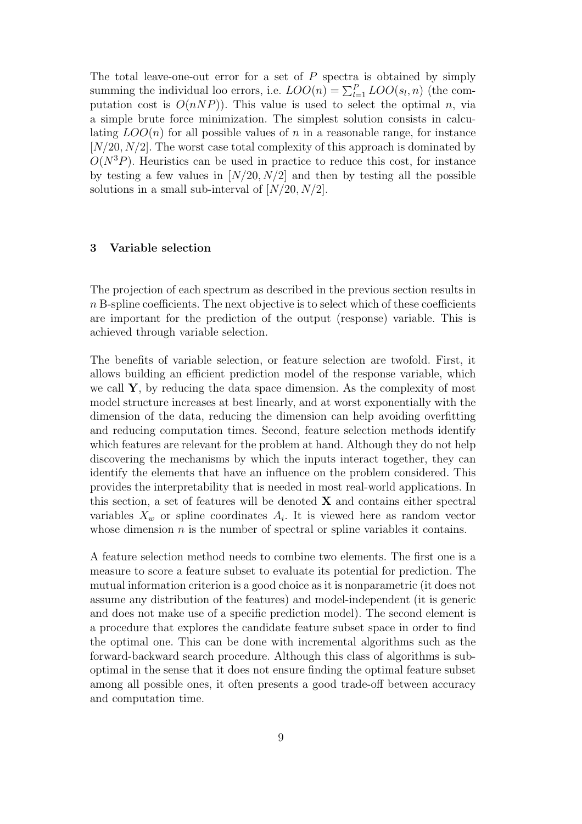The total leave-one-out error for a set of  $P$  spectra is obtained by simply summing the individual loo errors, i.e.  $LOO(n) = \sum_{l=1}^{P} LOO(s_l, n)$  (the computation cost is  $O(nNP)$ ). This value is used to select the optimal n, via a simple brute force minimization. The simplest solution consists in calculating  $LOO(n)$  for all possible values of n in a reasonable range, for instance  $[N/20, N/2]$ . The worst case total complexity of this approach is dominated by  $O(N^3P)$ . Heuristics can be used in practice to reduce this cost, for instance by testing a few values in  $[N/20, N/2]$  and then by testing all the possible solutions in a small sub-interval of  $[N/20, N/2]$ .

### 3 Variable selection

The projection of each spectrum as described in the previous section results in  $n$  B-spline coefficients. The next objective is to select which of these coefficients are important for the prediction of the output (response) variable. This is achieved through variable selection.

The benefits of variable selection, or feature selection are twofold. First, it allows building an efficient prediction model of the response variable, which we call  $\mathbf{Y}$ , by reducing the data space dimension. As the complexity of most model structure increases at best linearly, and at worst exponentially with the dimension of the data, reducing the dimension can help avoiding overfitting and reducing computation times. Second, feature selection methods identify which features are relevant for the problem at hand. Although they do not help discovering the mechanisms by which the inputs interact together, they can identify the elements that have an influence on the problem considered. This provides the interpretability that is needed in most real-world applications. In this section, a set of features will be denoted  $X$  and contains either spectral variables  $X_w$  or spline coordinates  $A_i$ . It is viewed here as random vector whose dimension  $n$  is the number of spectral or spline variables it contains.

A feature selection method needs to combine two elements. The first one is a measure to score a feature subset to evaluate its potential for prediction. The mutual information criterion is a good choice as it is nonparametric (it does not assume any distribution of the features) and model-independent (it is generic and does not make use of a specific prediction model). The second element is a procedure that explores the candidate feature subset space in order to find the optimal one. This can be done with incremental algorithms such as the forward-backward search procedure. Although this class of algorithms is suboptimal in the sense that it does not ensure finding the optimal feature subset among all possible ones, it often presents a good trade-off between accuracy and computation time.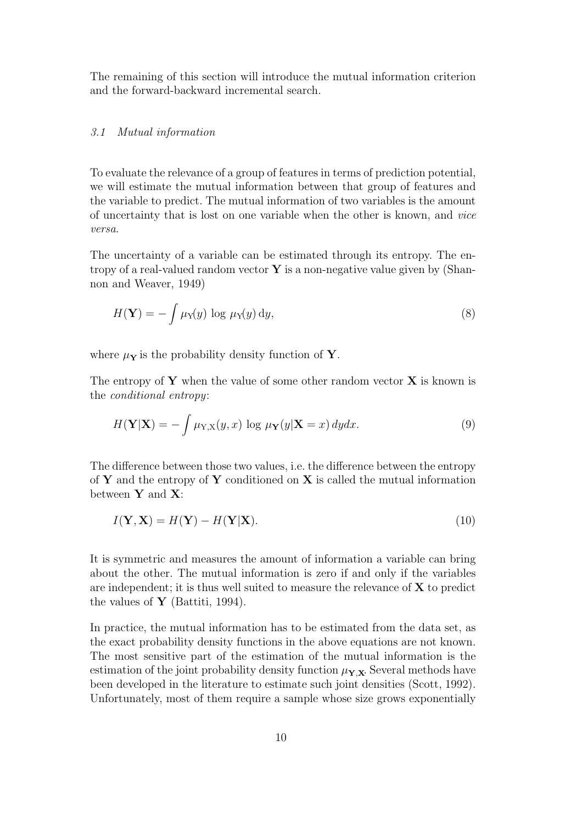The remaining of this section will introduce the mutual information criterion and the forward-backward incremental search.

### 3.1 Mutual information

To evaluate the relevance of a group of features in terms of prediction potential, we will estimate the mutual information between that group of features and the variable to predict. The mutual information of two variables is the amount of uncertainty that is lost on one variable when the other is known, and vice versa.

The uncertainty of a variable can be estimated through its entropy. The entropy of a real-valued random vector  $\bf{Y}$  is a non-negative value given by (Shannon and Weaver, 1949)

$$
H(\mathbf{Y}) = -\int \mu_{\mathbf{Y}}(y) \log \mu_{\mathbf{Y}}(y) \, \mathrm{d}y,\tag{8}
$$

where  $\mu_Y$  is the probability density function of Y.

The entropy of  $Y$  when the value of some other random vector  $X$  is known is the conditional entropy:

$$
H(\mathbf{Y}|\mathbf{X}) = -\int \mu_{\mathbf{Y},\mathbf{X}}(y,x) \log \mu_{\mathbf{Y}}(y|\mathbf{X}=x) \, dydx. \tag{9}
$$

The difference between those two values, i.e. the difference between the entropy of Y and the entropy of Y conditioned on X is called the mutual information between  $Y$  and  $X$ :

$$
I(\mathbf{Y}, \mathbf{X}) = H(\mathbf{Y}) - H(\mathbf{Y}|\mathbf{X}).
$$
\n(10)

It is symmetric and measures the amount of information a variable can bring about the other. The mutual information is zero if and only if the variables are independent; it is thus well suited to measure the relevance of  $X$  to predict the values of  $\mathbf{Y}$  (Battiti, 1994).

In practice, the mutual information has to be estimated from the data set, as the exact probability density functions in the above equations are not known. The most sensitive part of the estimation of the mutual information is the estimation of the joint probability density function  $\mu_{\mathbf{Y},\mathbf{X}}$ . Several methods have been developed in the literature to estimate such joint densities (Scott, 1992). Unfortunately, most of them require a sample whose size grows exponentially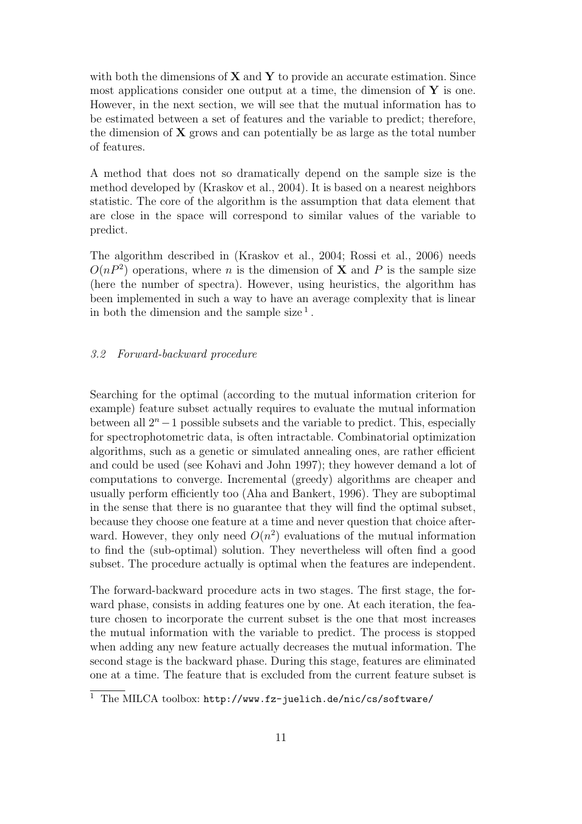with both the dimensions of  $X$  and  $Y$  to provide an accurate estimation. Since most applications consider one output at a time, the dimension of  $Y$  is one. However, in the next section, we will see that the mutual information has to be estimated between a set of features and the variable to predict; therefore, the dimension of  $X$  grows and can potentially be as large as the total number of features.

A method that does not so dramatically depend on the sample size is the method developed by (Kraskov et al., 2004). It is based on a nearest neighbors statistic. The core of the algorithm is the assumption that data element that are close in the space will correspond to similar values of the variable to predict.

The algorithm described in (Kraskov et al., 2004; Rossi et al., 2006) needs  $O(nP^2)$  operations, where *n* is the dimension of **X** and *P* is the sample size (here the number of spectra). However, using heuristics, the algorithm has been implemented in such a way to have an average complexity that is linear in both the dimension and the sample size<sup>1</sup>.

### 3.2 Forward-backward procedure

Searching for the optimal (according to the mutual information criterion for example) feature subset actually requires to evaluate the mutual information between all  $2<sup>n</sup> - 1$  possible subsets and the variable to predict. This, especially for spectrophotometric data, is often intractable. Combinatorial optimization algorithms, such as a genetic or simulated annealing ones, are rather efficient and could be used (see Kohavi and John 1997); they however demand a lot of computations to converge. Incremental (greedy) algorithms are cheaper and usually perform efficiently too (Aha and Bankert, 1996). They are suboptimal in the sense that there is no guarantee that they will find the optimal subset, because they choose one feature at a time and never question that choice afterward. However, they only need  $O(n^2)$  evaluations of the mutual information to find the (sub-optimal) solution. They nevertheless will often find a good subset. The procedure actually is optimal when the features are independent.

The forward-backward procedure acts in two stages. The first stage, the forward phase, consists in adding features one by one. At each iteration, the feature chosen to incorporate the current subset is the one that most increases the mutual information with the variable to predict. The process is stopped when adding any new feature actually decreases the mutual information. The second stage is the backward phase. During this stage, features are eliminated one at a time. The feature that is excluded from the current feature subset is

<sup>&</sup>lt;sup>1</sup> The MILCA toolbox: http://www.fz-juelich.de/nic/cs/software/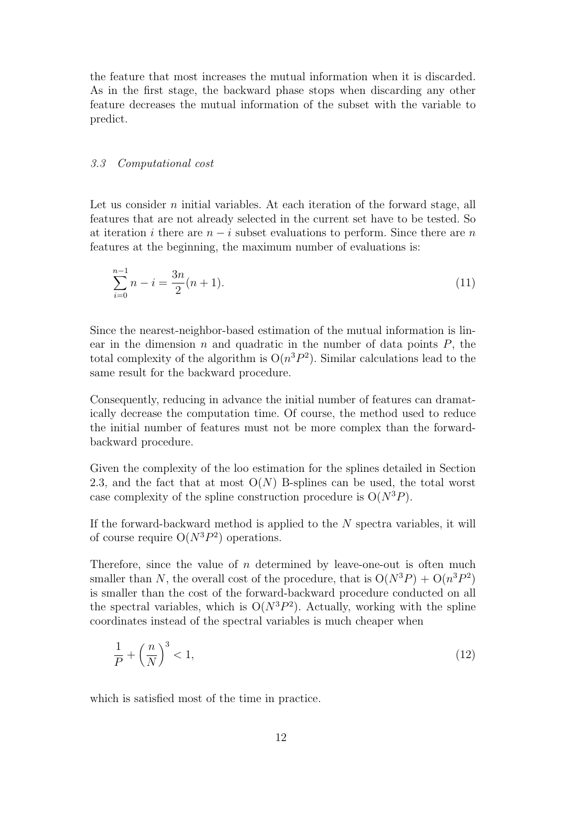the feature that most increases the mutual information when it is discarded. As in the first stage, the backward phase stops when discarding any other feature decreases the mutual information of the subset with the variable to predict.

#### 3.3 Computational cost

Let us consider  $n$  initial variables. At each iteration of the forward stage, all features that are not already selected in the current set have to be tested. So at iteration i there are  $n - i$  subset evaluations to perform. Since there are n features at the beginning, the maximum number of evaluations is:

$$
\sum_{i=0}^{n-1} n - i = \frac{3n}{2}(n+1).
$$
\n(11)

Since the nearest-neighbor-based estimation of the mutual information is linear in the dimension n and quadratic in the number of data points  $P$ , the total complexity of the algorithm is  $O(n^3P^2)$ . Similar calculations lead to the same result for the backward procedure.

Consequently, reducing in advance the initial number of features can dramatically decrease the computation time. Of course, the method used to reduce the initial number of features must not be more complex than the forwardbackward procedure.

Given the complexity of the loo estimation for the splines detailed in Section 2.3, and the fact that at most  $O(N)$  B-splines can be used, the total worst case complexity of the spline construction procedure is  $O(N^3P)$ .

If the forward-backward method is applied to the  $N$  spectra variables, it will of course require  $O(N^3P^2)$  operations.

Therefore, since the value of  $n$  determined by leave-one-out is often much smaller than N, the overall cost of the procedure, that is  $O(N^3P) + O(n^3P^2)$ is smaller than the cost of the forward-backward procedure conducted on all the spectral variables, which is  $O(N^3P^2)$ . Actually, working with the spline coordinates instead of the spectral variables is much cheaper when

$$
\frac{1}{P} + \left(\frac{n}{N}\right)^3 < 1,\tag{12}
$$

which is satisfied most of the time in practice.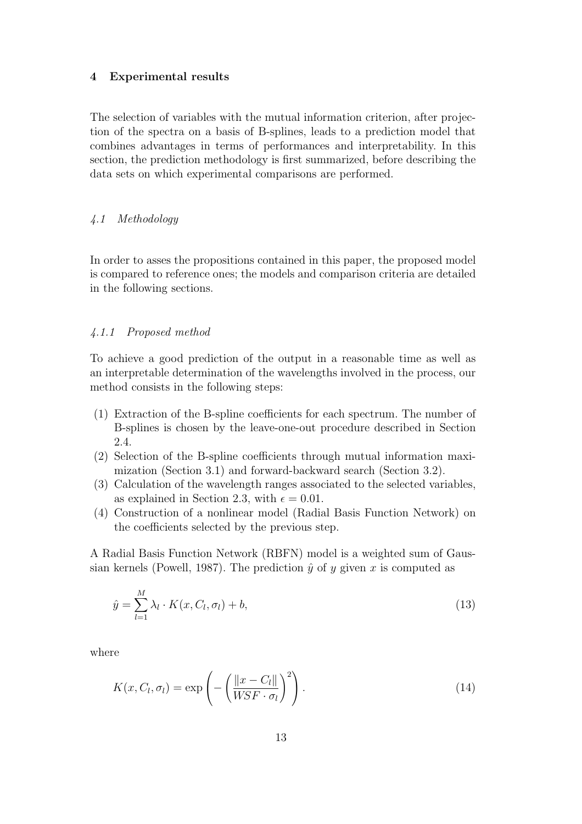### 4 Experimental results

The selection of variables with the mutual information criterion, after projection of the spectra on a basis of B-splines, leads to a prediction model that combines advantages in terms of performances and interpretability. In this section, the prediction methodology is first summarized, before describing the data sets on which experimental comparisons are performed.

# 4.1 Methodology

In order to asses the propositions contained in this paper, the proposed model is compared to reference ones; the models and comparison criteria are detailed in the following sections.

### 4.1.1 Proposed method

To achieve a good prediction of the output in a reasonable time as well as an interpretable determination of the wavelengths involved in the process, our method consists in the following steps:

- (1) Extraction of the B-spline coefficients for each spectrum. The number of B-splines is chosen by the leave-one-out procedure described in Section 2.4.
- (2) Selection of the B-spline coefficients through mutual information maximization (Section 3.1) and forward-backward search (Section 3.2).
- (3) Calculation of the wavelength ranges associated to the selected variables, as explained in Section 2.3, with  $\epsilon = 0.01$ .
- (4) Construction of a nonlinear model (Radial Basis Function Network) on the coefficients selected by the previous step.

A Radial Basis Function Network (RBFN) model is a weighted sum of Gaussian kernels (Powell, 1987). The prediction  $\hat{y}$  of y given x is computed as

$$
\hat{y} = \sum_{l=1}^{M} \lambda_l \cdot K(x, C_l, \sigma_l) + b,\tag{13}
$$

where

$$
K(x, C_l, \sigma_l) = \exp\left(-\left(\frac{\|x - C_l\|}{WSF \cdot \sigma_l}\right)^2\right).
$$
\n(14)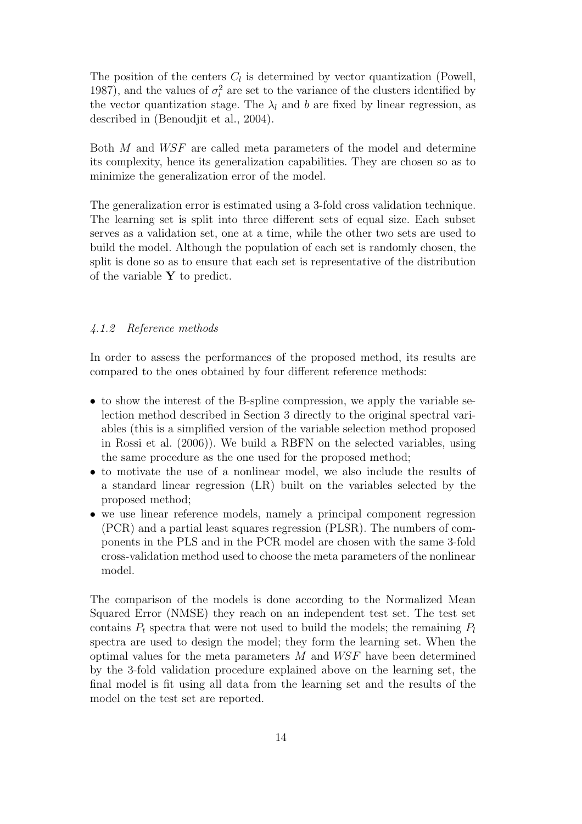The position of the centers  $C_l$  is determined by vector quantization (Powell, 1987), and the values of  $\sigma_l^2$  are set to the variance of the clusters identified by the vector quantization stage. The  $\lambda_l$  and b are fixed by linear regression, as described in (Benoudjit et al., 2004).

Both M and WSF are called meta parameters of the model and determine its complexity, hence its generalization capabilities. They are chosen so as to minimize the generalization error of the model.

The generalization error is estimated using a 3-fold cross validation technique. The learning set is split into three different sets of equal size. Each subset serves as a validation set, one at a time, while the other two sets are used to build the model. Although the population of each set is randomly chosen, the split is done so as to ensure that each set is representative of the distribution of the variable  $\bf{Y}$  to predict.

### 4.1.2 Reference methods

In order to assess the performances of the proposed method, its results are compared to the ones obtained by four different reference methods:

- to show the interest of the B-spline compression, we apply the variable selection method described in Section 3 directly to the original spectral variables (this is a simplified version of the variable selection method proposed in Rossi et al. (2006)). We build a RBFN on the selected variables, using the same procedure as the one used for the proposed method;
- to motivate the use of a nonlinear model, we also include the results of a standard linear regression (LR) built on the variables selected by the proposed method;
- we use linear reference models, namely a principal component regression (PCR) and a partial least squares regression (PLSR). The numbers of components in the PLS and in the PCR model are chosen with the same 3-fold cross-validation method used to choose the meta parameters of the nonlinear model.

The comparison of the models is done according to the Normalized Mean Squared Error (NMSE) they reach on an independent test set. The test set contains  $P_t$  spectra that were not used to build the models; the remaining  $P_t$ spectra are used to design the model; they form the learning set. When the optimal values for the meta parameters  $M$  and  $WSF$  have been determined by the 3-fold validation procedure explained above on the learning set, the final model is fit using all data from the learning set and the results of the model on the test set are reported.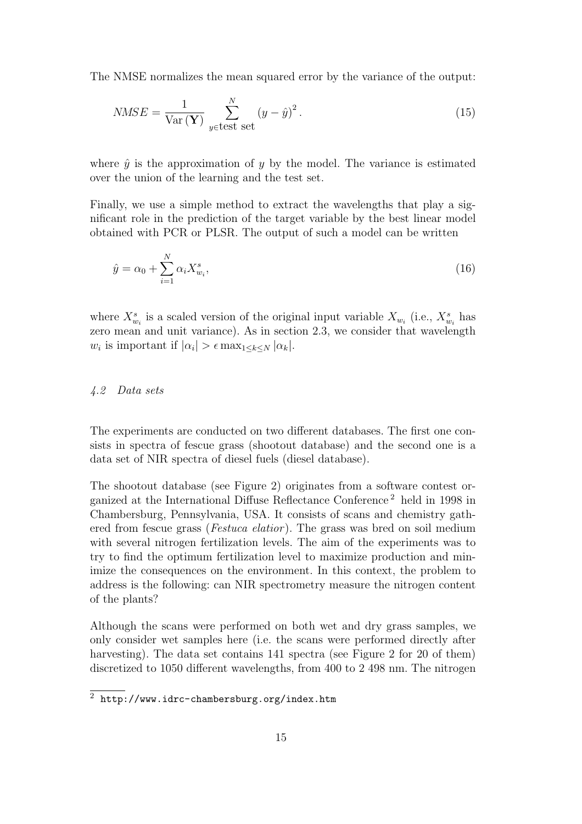The NMSE normalizes the mean squared error by the variance of the output:

$$
NMSE = \frac{1}{\text{Var}(\mathbf{Y})} \sum_{y \in \text{test set}}^{N} (y - \hat{y})^2.
$$
 (15)

where  $\hat{y}$  is the approximation of y by the model. The variance is estimated over the union of the learning and the test set.

Finally, we use a simple method to extract the wavelengths that play a significant role in the prediction of the target variable by the best linear model obtained with PCR or PLSR. The output of such a model can be written

$$
\hat{y} = \alpha_0 + \sum_{i=1}^{N} \alpha_i X_{w_i}^s,
$$
\n(16)

where  $X_{w_i}^s$  is a scaled version of the original input variable  $X_{w_i}$  (i.e.,  $X_{w_i}^s$  has zero mean and unit variance). As in section 2.3, we consider that wavelength  $w_i$  is important if  $|\alpha_i| > \epsilon \max_{1 \leq k \leq N} |\alpha_k|$ .

### 4.2 Data sets

The experiments are conducted on two different databases. The first one consists in spectra of fescue grass (shootout database) and the second one is a data set of NIR spectra of diesel fuels (diesel database).

The shootout database (see Figure 2) originates from a software contest organized at the International Diffuse Reflectance Conference <sup>2</sup> held in 1998 in Chambersburg, Pennsylvania, USA. It consists of scans and chemistry gathered from fescue grass (*Festuca elatior*). The grass was bred on soil medium with several nitrogen fertilization levels. The aim of the experiments was to try to find the optimum fertilization level to maximize production and minimize the consequences on the environment. In this context, the problem to address is the following: can NIR spectrometry measure the nitrogen content of the plants?

Although the scans were performed on both wet and dry grass samples, we only consider wet samples here (i.e. the scans were performed directly after harvesting). The data set contains 141 spectra (see Figure 2 for 20 of them) discretized to 1050 different wavelengths, from 400 to 2 498 nm. The nitrogen

 $\overline{2 \text{ http://www.idrc-chambersburg.org/index.htm}}$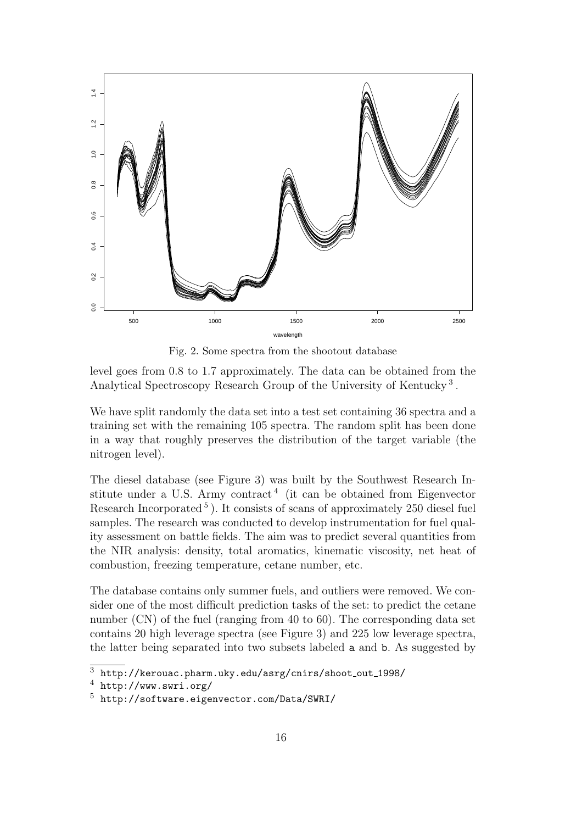

Fig. 2. Some spectra from the shootout database

level goes from 0.8 to 1.7 approximately. The data can be obtained from the Analytical Spectroscopy Research Group of the University of Kentucky<sup>3</sup>.

We have split randomly the data set into a test set containing 36 spectra and a training set with the remaining 105 spectra. The random split has been done in a way that roughly preserves the distribution of the target variable (the nitrogen level).

The diesel database (see Figure 3) was built by the Southwest Research Institute under a U.S. Army contract<sup>4</sup> (it can be obtained from Eigenvector Research Incorporated<sup>5</sup>). It consists of scans of approximately 250 diesel fuel samples. The research was conducted to develop instrumentation for fuel quality assessment on battle fields. The aim was to predict several quantities from the NIR analysis: density, total aromatics, kinematic viscosity, net heat of combustion, freezing temperature, cetane number, etc.

The database contains only summer fuels, and outliers were removed. We consider one of the most difficult prediction tasks of the set: to predict the cetane number (CN) of the fuel (ranging from 40 to 60). The corresponding data set contains 20 high leverage spectra (see Figure 3) and 225 low leverage spectra, the latter being separated into two subsets labeled a and b. As suggested by

 $\frac{3 \text{ http://kerouac.phparm.uky.edu/asrg/cnirs/shoot-out_1998/}}{3 \text{ http://kerouac.phparm.uky.edu/asrg/cnirs/shoot-out_1998/}}$ 

<sup>4</sup> http://www.swri.org/

<sup>5</sup> http://software.eigenvector.com/Data/SWRI/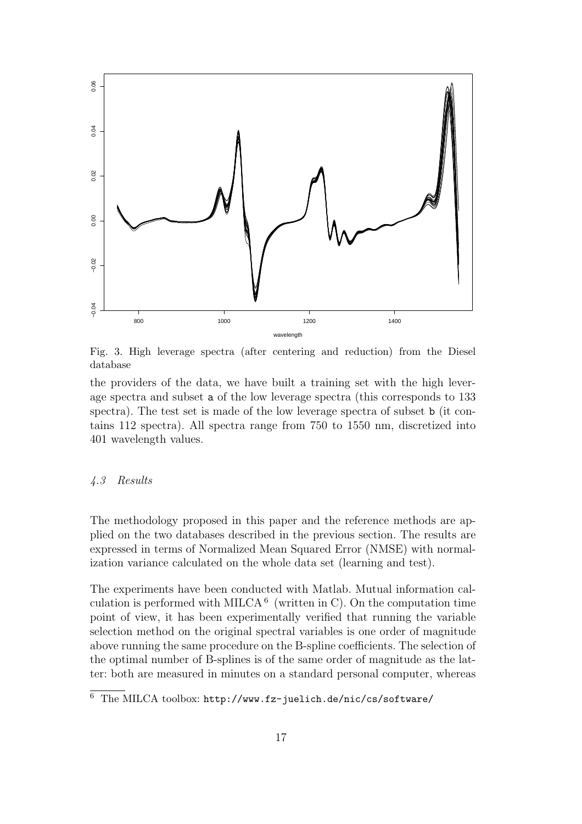

Fig. 3. High leverage spectra (after centering and reduction) from the Diesel database

the providers of the data, we have built a training set with the high leverage spectra and subset a of the low leverage spectra (this corresponds to 133 spectra). The test set is made of the low leverage spectra of subset b (it contains 112 spectra). All spectra range from 750 to 1550 nm, discretized into 401 wavelength values.

### 4.3 Results

The methodology proposed in this paper and the reference methods are applied on the two databases described in the previous section. The results are expressed in terms of Normalized Mean Squared Error (NMSE) with normalization variance calculated on the whole data set (learning and test).

The experiments have been conducted with Matlab. Mutual information calculation is performed with MILCA<sup>6</sup> (written in C). On the computation time point of view, it has been experimentally verified that running the variable selection method on the original spectral variables is one order of magnitude above running the same procedure on the B-spline coefficients. The selection of the optimal number of B-splines is of the same order of magnitude as the latter: both are measured in minutes on a standard personal computer, whereas

<sup>6</sup> The MILCA toolbox: http://www.fz-juelich.de/nic/cs/software/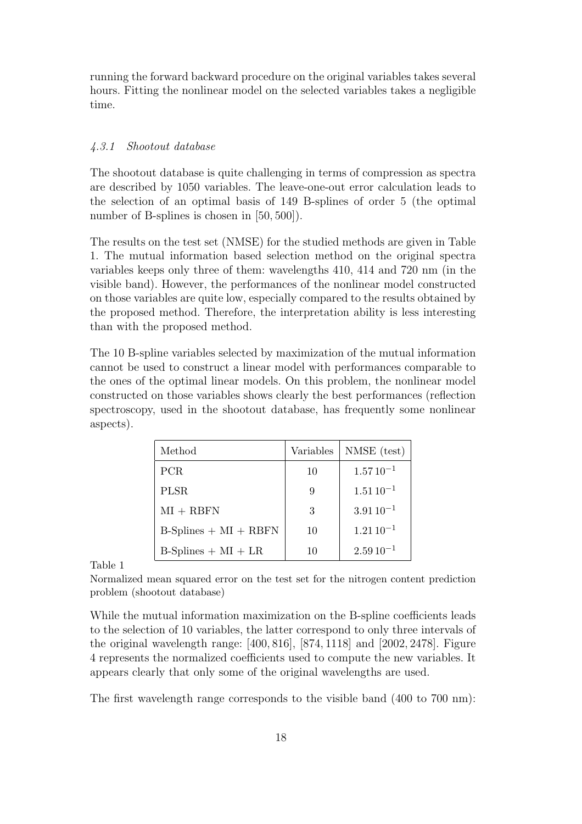running the forward backward procedure on the original variables takes several hours. Fitting the nonlinear model on the selected variables takes a negligible time.

### 4.3.1 Shootout database

The shootout database is quite challenging in terms of compression as spectra are described by 1050 variables. The leave-one-out error calculation leads to the selection of an optimal basis of 149 B-splines of order 5 (the optimal number of B-splines is chosen in [50, 500]).

The results on the test set (NMSE) for the studied methods are given in Table 1. The mutual information based selection method on the original spectra variables keeps only three of them: wavelengths 410, 414 and 720 nm (in the visible band). However, the performances of the nonlinear model constructed on those variables are quite low, especially compared to the results obtained by the proposed method. Therefore, the interpretation ability is less interesting than with the proposed method.

The 10 B-spline variables selected by maximization of the mutual information cannot be used to construct a linear model with performances comparable to the ones of the optimal linear models. On this problem, the nonlinear model constructed on those variables shows clearly the best performances (reflection spectroscopy, used in the shootout database, has frequently some nonlinear aspects).

| Method                  | Variables | NMSE (test)     |
|-------------------------|-----------|-----------------|
| PCR.                    | 10        | $1.5710^{-1}$   |
| <b>PLSR</b>             | 9         | $1.51\,10^{-1}$ |
| $MI + RBFN$             | 3         | $3.9110^{-1}$   |
| $B-Splines + MI + RBFN$ | 10        | $1.21\,10^{-1}$ |
| $B-Splines + MI + LR$   | 10        | $2.5910^{-1}$   |

Table 1

Normalized mean squared error on the test set for the nitrogen content prediction problem (shootout database)

While the mutual information maximization on the B-spline coefficients leads to the selection of 10 variables, the latter correspond to only three intervals of the original wavelength range: [400, 816], [874, 1118] and [2002, 2478]. Figure 4 represents the normalized coefficients used to compute the new variables. It appears clearly that only some of the original wavelengths are used.

The first wavelength range corresponds to the visible band (400 to 700 nm):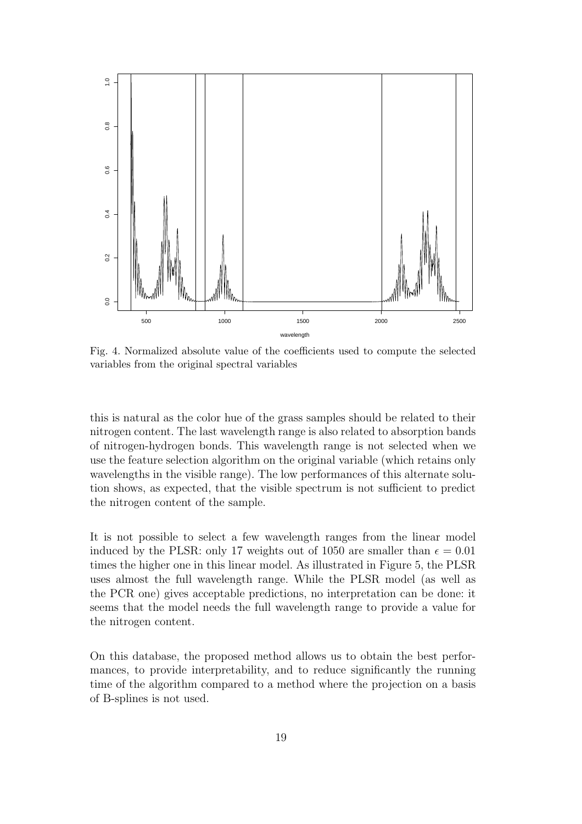

Fig. 4. Normalized absolute value of the coefficients used to compute the selected variables from the original spectral variables

this is natural as the color hue of the grass samples should be related to their nitrogen content. The last wavelength range is also related to absorption bands of nitrogen-hydrogen bonds. This wavelength range is not selected when we use the feature selection algorithm on the original variable (which retains only wavelengths in the visible range). The low performances of this alternate solution shows, as expected, that the visible spectrum is not sufficient to predict the nitrogen content of the sample.

It is not possible to select a few wavelength ranges from the linear model induced by the PLSR: only 17 weights out of 1050 are smaller than  $\epsilon = 0.01$ times the higher one in this linear model. As illustrated in Figure 5, the PLSR uses almost the full wavelength range. While the PLSR model (as well as the PCR one) gives acceptable predictions, no interpretation can be done: it seems that the model needs the full wavelength range to provide a value for the nitrogen content.

On this database, the proposed method allows us to obtain the best performances, to provide interpretability, and to reduce significantly the running time of the algorithm compared to a method where the projection on a basis of B-splines is not used.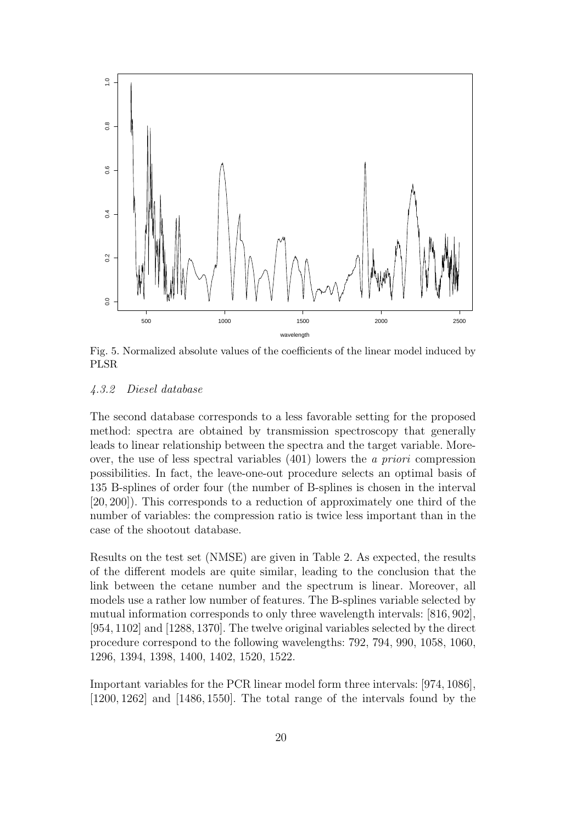

Fig. 5. Normalized absolute values of the coefficients of the linear model induced by PLSR

### 4.3.2 Diesel database

The second database corresponds to a less favorable setting for the proposed method: spectra are obtained by transmission spectroscopy that generally leads to linear relationship between the spectra and the target variable. Moreover, the use of less spectral variables  $(401)$  lowers the *a priori* compression possibilities. In fact, the leave-one-out procedure selects an optimal basis of 135 B-splines of order four (the number of B-splines is chosen in the interval [20, 200]). This corresponds to a reduction of approximately one third of the number of variables: the compression ratio is twice less important than in the case of the shootout database.

Results on the test set (NMSE) are given in Table 2. As expected, the results of the different models are quite similar, leading to the conclusion that the link between the cetane number and the spectrum is linear. Moreover, all models use a rather low number of features. The B-splines variable selected by mutual information corresponds to only three wavelength intervals: [816, 902], [954, 1102] and [1288, 1370]. The twelve original variables selected by the direct procedure correspond to the following wavelengths: 792, 794, 990, 1058, 1060, 1296, 1394, 1398, 1400, 1402, 1520, 1522.

Important variables for the PCR linear model form three intervals: [974, 1086], [1200, 1262] and [1486, 1550]. The total range of the intervals found by the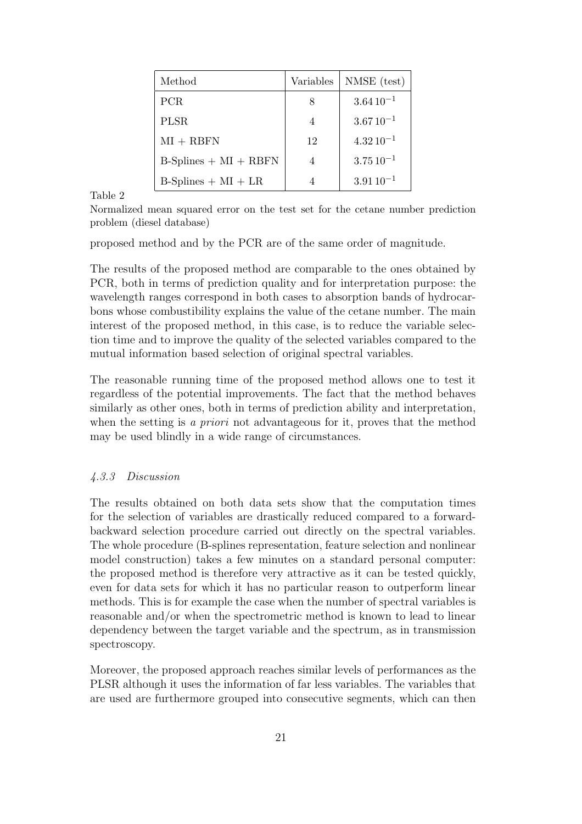| Method                  | Variables      | NMSE (test)     |
|-------------------------|----------------|-----------------|
| PCR.                    | 8              | $3.64\,10^{-1}$ |
| <b>PLSR</b>             | $\overline{4}$ | $3.6710^{-1}$   |
| $MI + RBFN$             | 12             | $4.3210^{-1}$   |
| $B-Splines + MI + RBFN$ |                | $3.75\,10^{-1}$ |
| $B-Splines + MI + LR$   |                | $3.9110^{-1}$   |

Table 2

Normalized mean squared error on the test set for the cetane number prediction problem (diesel database)

proposed method and by the PCR are of the same order of magnitude.

The results of the proposed method are comparable to the ones obtained by PCR, both in terms of prediction quality and for interpretation purpose: the wavelength ranges correspond in both cases to absorption bands of hydrocarbons whose combustibility explains the value of the cetane number. The main interest of the proposed method, in this case, is to reduce the variable selection time and to improve the quality of the selected variables compared to the mutual information based selection of original spectral variables.

The reasonable running time of the proposed method allows one to test it regardless of the potential improvements. The fact that the method behaves similarly as other ones, both in terms of prediction ability and interpretation, when the setting is a *priori* not advantageous for it, proves that the method may be used blindly in a wide range of circumstances.

# 4.3.3 Discussion

The results obtained on both data sets show that the computation times for the selection of variables are drastically reduced compared to a forwardbackward selection procedure carried out directly on the spectral variables. The whole procedure (B-splines representation, feature selection and nonlinear model construction) takes a few minutes on a standard personal computer: the proposed method is therefore very attractive as it can be tested quickly, even for data sets for which it has no particular reason to outperform linear methods. This is for example the case when the number of spectral variables is reasonable and/or when the spectrometric method is known to lead to linear dependency between the target variable and the spectrum, as in transmission spectroscopy.

Moreover, the proposed approach reaches similar levels of performances as the PLSR although it uses the information of far less variables. The variables that are used are furthermore grouped into consecutive segments, which can then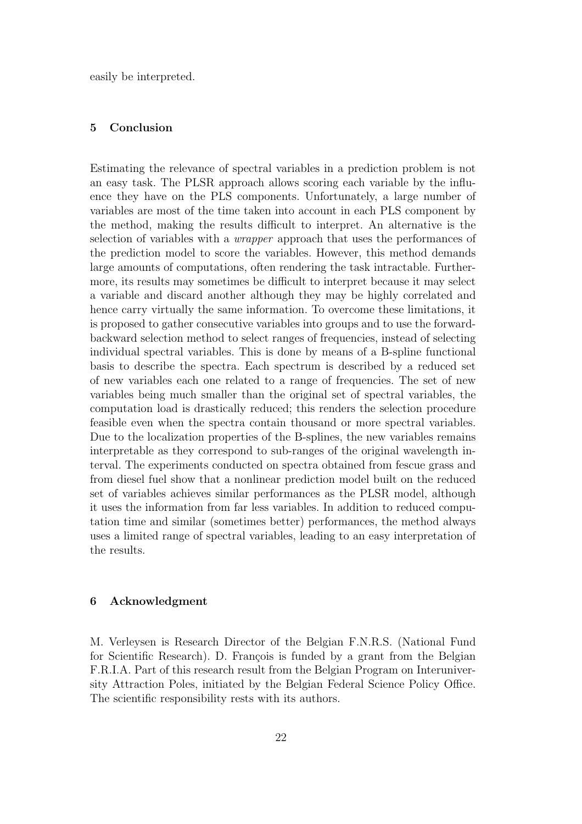easily be interpreted.

## 5 Conclusion

Estimating the relevance of spectral variables in a prediction problem is not an easy task. The PLSR approach allows scoring each variable by the influence they have on the PLS components. Unfortunately, a large number of variables are most of the time taken into account in each PLS component by the method, making the results difficult to interpret. An alternative is the selection of variables with a wrapper approach that uses the performances of the prediction model to score the variables. However, this method demands large amounts of computations, often rendering the task intractable. Furthermore, its results may sometimes be difficult to interpret because it may select a variable and discard another although they may be highly correlated and hence carry virtually the same information. To overcome these limitations, it is proposed to gather consecutive variables into groups and to use the forwardbackward selection method to select ranges of frequencies, instead of selecting individual spectral variables. This is done by means of a B-spline functional basis to describe the spectra. Each spectrum is described by a reduced set of new variables each one related to a range of frequencies. The set of new variables being much smaller than the original set of spectral variables, the computation load is drastically reduced; this renders the selection procedure feasible even when the spectra contain thousand or more spectral variables. Due to the localization properties of the B-splines, the new variables remains interpretable as they correspond to sub-ranges of the original wavelength interval. The experiments conducted on spectra obtained from fescue grass and from diesel fuel show that a nonlinear prediction model built on the reduced set of variables achieves similar performances as the PLSR model, although it uses the information from far less variables. In addition to reduced computation time and similar (sometimes better) performances, the method always uses a limited range of spectral variables, leading to an easy interpretation of the results.

### 6 Acknowledgment

M. Verleysen is Research Director of the Belgian F.N.R.S. (National Fund for Scientific Research). D. François is funded by a grant from the Belgian F.R.I.A. Part of this research result from the Belgian Program on Interuniversity Attraction Poles, initiated by the Belgian Federal Science Policy Office. The scientific responsibility rests with its authors.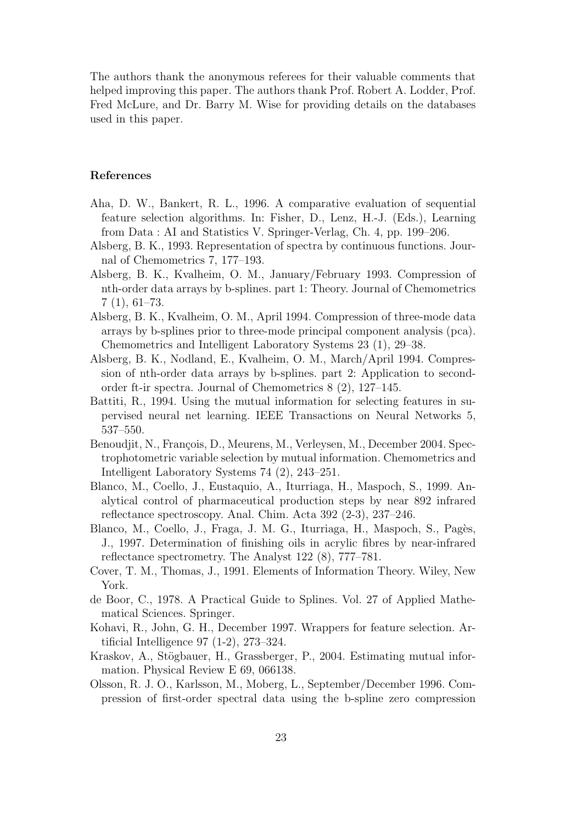The authors thank the anonymous referees for their valuable comments that helped improving this paper. The authors thank Prof. Robert A. Lodder, Prof. Fred McLure, and Dr. Barry M. Wise for providing details on the databases used in this paper.

### References

- Aha, D. W., Bankert, R. L., 1996. A comparative evaluation of sequential feature selection algorithms. In: Fisher, D., Lenz, H.-J. (Eds.), Learning from Data : AI and Statistics V. Springer-Verlag, Ch. 4, pp. 199–206.
- Alsberg, B. K., 1993. Representation of spectra by continuous functions. Journal of Chemometrics 7, 177–193.
- Alsberg, B. K., Kvalheim, O. M., January/February 1993. Compression of nth-order data arrays by b-splines. part 1: Theory. Journal of Chemometrics 7 (1), 61–73.
- Alsberg, B. K., Kvalheim, O. M., April 1994. Compression of three-mode data arrays by b-splines prior to three-mode principal component analysis (pca). Chemometrics and Intelligent Laboratory Systems 23 (1), 29–38.
- Alsberg, B. K., Nodland, E., Kvalheim, O. M., March/April 1994. Compression of nth-order data arrays by b-splines. part 2: Application to secondorder ft-ir spectra. Journal of Chemometrics 8 (2), 127–145.
- Battiti, R., 1994. Using the mutual information for selecting features in supervised neural net learning. IEEE Transactions on Neural Networks 5, 537–550.
- Benoudjit, N., François, D., Meurens, M., Verleysen, M., December 2004. Spectrophotometric variable selection by mutual information. Chemometrics and Intelligent Laboratory Systems 74 (2), 243–251.
- Blanco, M., Coello, J., Eustaquio, A., Iturriaga, H., Maspoch, S., 1999. Analytical control of pharmaceutical production steps by near 892 infrared reflectance spectroscopy. Anal. Chim. Acta 392 (2-3), 237–246.
- Blanco, M., Coello, J., Fraga, J. M. G., Iturriaga, H., Maspoch, S., Pagès, J., 1997. Determination of finishing oils in acrylic fibres by near-infrared reflectance spectrometry. The Analyst 122 (8), 777–781.
- Cover, T. M., Thomas, J., 1991. Elements of Information Theory. Wiley, New York.
- de Boor, C., 1978. A Practical Guide to Splines. Vol. 27 of Applied Mathematical Sciences. Springer.
- Kohavi, R., John, G. H., December 1997. Wrappers for feature selection. Artificial Intelligence 97 (1-2), 273–324.
- Kraskov, A., Stögbauer, H., Grassberger, P., 2004. Estimating mutual information. Physical Review E 69, 066138.
- Olsson, R. J. O., Karlsson, M., Moberg, L., September/December 1996. Compression of first-order spectral data using the b-spline zero compression